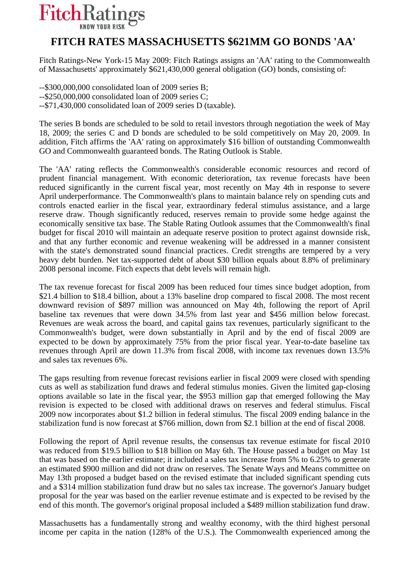## **FitchRatings**

## **FITCH RATES MASSACHUSETTS \$621MM GO BONDS 'AA'**

Fitch Ratings-New York-15 May 2009: Fitch Ratings assigns an 'AA' rating to the Commonwealth of Massachusetts' approximately \$621,430,000 general obligation (GO) bonds, consisting of:

--\$300,000,000 consolidated loan of 2009 series B; --\$250,000,000 consolidated loan of 2009 series C; --\$71,430,000 consolidated loan of 2009 series D (taxable).

The series B bonds are scheduled to be sold to retail investors through negotiation the week of May 18, 2009; the series C and D bonds are scheduled to be sold competitively on May 20, 2009. In addition, Fitch affirms the 'AA' rating on approximately \$16 billion of outstanding Commonwealth GO and Commonwealth guaranteed bonds. The Rating Outlook is Stable.

The 'AA' rating reflects the Commonwealth's considerable economic resources and record of prudent financial management. With economic deterioration, tax revenue forecasts have been reduced significantly in the current fiscal year, most recently on May 4th in response to severe April underperformance. The Commonwealth's plans to maintain balance rely on spending cuts and controls enacted earlier in the fiscal year, extraordinary federal stimulus assistance, and a large reserve draw. Though significantly reduced, reserves remain to provide some hedge against the economically sensitive tax base. The Stable Rating Outlook assumes that the Commonwealth's final budget for fiscal 2010 will maintain an adequate reserve position to protect against downside risk, and that any further economic and revenue weakening will be addressed in a manner consistent with the state's demonstrated sound financial practices. Credit strengths are tempered by a very heavy debt burden. Net tax-supported debt of about \$30 billion equals about 8.8% of preliminary 2008 personal income. Fitch expects that debt levels will remain high.

The tax revenue forecast for fiscal 2009 has been reduced four times since budget adoption, from \$21.4 billion to \$18.4 billion, about a 13% baseline drop compared to fiscal 2008. The most recent downward revision of \$897 million was announced on May 4th, following the report of April baseline tax revenues that were down 34.5% from last year and \$456 million below forecast. Revenues are weak across the board, and capital gains tax revenues, particularly significant to the Commonwealth's budget, were down substantially in April and by the end of fiscal 2009 are expected to be down by approximately 75% from the prior fiscal year. Year-to-date baseline tax revenues through April are down 11.3% from fiscal 2008, with income tax revenues down 13.5% and sales tax revenues 6%.

The gaps resulting from revenue forecast revisions earlier in fiscal 2009 were closed with spending cuts as well as stabilization fund draws and federal stimulus monies. Given the limited gap-closing options available so late in the fiscal year, the \$953 million gap that emerged following the May revision is expected to be closed with additional draws on reserves and federal stimulus. Fiscal 2009 now incorporates about \$1.2 billion in federal stimulus. The fiscal 2009 ending balance in the stabilization fund is now forecast at \$766 million, down from \$2.1 billion at the end of fiscal 2008.

Following the report of April revenue results, the consensus tax revenue estimate for fiscal 2010 was reduced from \$19.5 billion to \$18 billion on May 6th. The House passed a budget on May 1st that was based on the earlier estimate; it included a sales tax increase from 5% to 6.25% to generate an estimated \$900 million and did not draw on reserves. The Senate Ways and Means committee on May 13th proposed a budget based on the revised estimate that included significant spending cuts and a \$314 million stabilization fund draw but no sales tax increase. The governor's January budget proposal for the year was based on the earlier revenue estimate and is expected to be revised by the end of this month. The governor's original proposal included a \$489 million stabilization fund draw.

Massachusetts has a fundamentally strong and wealthy economy, with the third highest personal income per capita in the nation (128% of the U.S.). The Commonwealth experienced among the